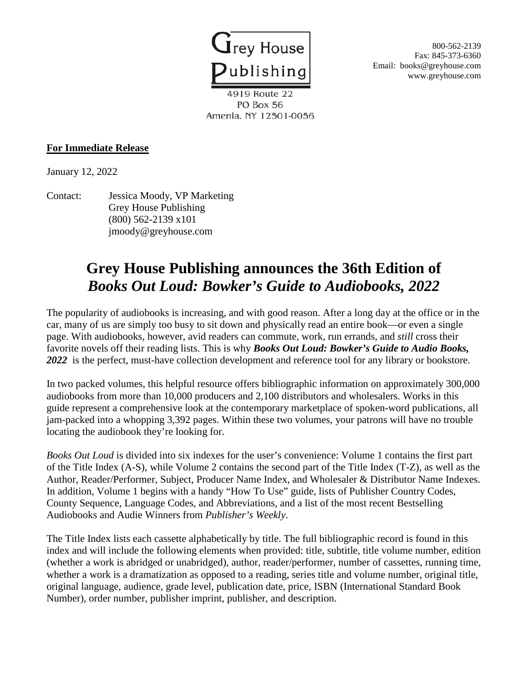

**Solution** S00-562-2139 Fax: 845-373-6360 Email: books@greyhouse.com www.greyhouse.com

4919 Route 22 PO Box 56 Amenia, NY 12501-0056

## **For Immediate Release**

January 12, 2022

Contact: Jessica Moody, VP Marketing Grey House Publishing (800) 562-2139 x101 jmoody@greyhouse.com

## **Grey House Publishing announces the 36th Edition of** *Books Out Loud: Bowker's Guide to Audiobooks, 2022*

The popularity of audiobooks is increasing, and with good reason. After a long day at the office or in the car, many of us are simply too busy to sit down and physically read an entire book—or even a single page. With audiobooks, however, avid readers can commute, work, run errands, and *still* cross their favorite novels off their reading lists. This is why *Books Out Loud: Bowker's Guide to Audio Books, 2022* is the perfect, must-have collection development and reference tool for any library or bookstore.

In two packed volumes, this helpful resource offers bibliographic information on approximately 300,000 audiobooks from more than 10,000 producers and 2,100 distributors and wholesalers. Works in this guide represent a comprehensive look at the contemporary marketplace of spoken-word publications, all jam-packed into a whopping 3,392 pages. Within these two volumes, your patrons will have no trouble locating the audiobook they're looking for.

*Books Out Loud* is divided into six indexes for the user's convenience: Volume 1 contains the first part of the Title Index (A-S), while Volume 2 contains the second part of the Title Index (T-Z), as well as the Author, Reader/Performer, Subject, Producer Name Index, and Wholesaler & Distributor Name Indexes. In addition, Volume 1 begins with a handy "How To Use" guide, lists of Publisher Country Codes, County Sequence, Language Codes, and Abbreviations, and a list of the most recent Bestselling Audiobooks and Audie Winners from *Publisher's Weekly*.

The Title Index lists each cassette alphabetically by title. The full bibliographic record is found in this index and will include the following elements when provided: title, subtitle, title volume number, edition (whether a work is abridged or unabridged), author, reader/performer, number of cassettes, running time, whether a work is a dramatization as opposed to a reading, series title and volume number, original title, original language, audience, grade level, publication date, price, ISBN (International Standard Book Number), order number, publisher imprint, publisher, and description.